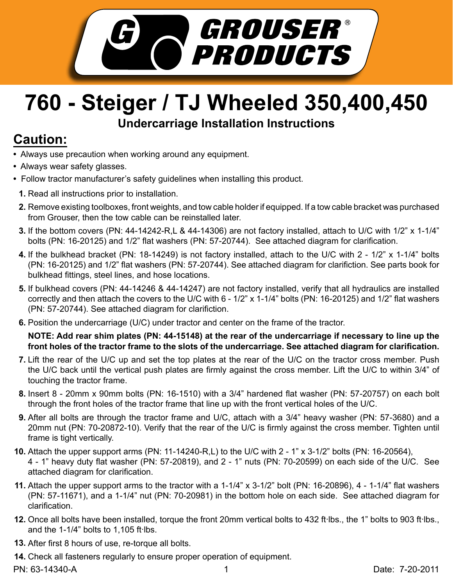

## **760 - Steiger / TJ Wheeled 350,400,450 Undercarriage Installation Instructions**

## **Caution:**

- Always use precaution when working around any equipment.
- Always wear safety glasses.
- Follow tractor manufacturer's safety guidelines when installing this product.
	- **1.** Read all instructions prior to installation.
	- **2.** Remove existing toolboxes, front weights, and tow cable holder if equipped. If a tow cable bracket was purchased from Grouser, then the tow cable can be reinstalled later.
	- If the bottom covers (PN: 44-14242-R,L & 44-14306) are not factory installed, attach to U/C with 1/2" x 1-1/4" **3.** bolts (PN: 16-20125) and 1/2" flat washers (PN: 57-20744). See attached diagram for clarification.
	- If the bulkhead bracket (PN: 18-14249) is not factory installed, attach to the U/C with 2 1/2" x 1-1/4" bolts **4.** (PN: 16-20125) and 1/2" flat washers (PN: 57-20744). See attached diagram for clarifiction. See parts book for bulkhead fittings, steel lines, and hose locations.
	- **5.** If bulkhead covers (PN: 44-14246 & 44-14247) are not factory installed, verify that all hydraulics are installed correctly and then attach the covers to the U/C with 6 - 1/2" x 1-1/4" bolts (PN: 16-20125) and 1/2" flat washers (PN: 57-20744). See attached diagram for clarifiction.
	- **6.** Position the undercarriage (U/C) under tractor and center on the frame of the tractor.

**NOTE: Add rear shim plates (PN: 44-15148) at the rear of the undercarriage if necessary to line up the front holes of the tractor frame to the slots of the undercarriage. See attached diagram for clarification.** 

- 7. Lift the rear of the U/C up and set the top plates at the rear of the U/C on the tractor cross member. Push the U/C back until the vertical push plates are firmly against the cross member. Lift the U/C to within 3/4" of touching the tractor frame.
- **8.** Insert 8 20mm x 90mm bolts (PN: 16-1510) with a 3/4" hardened flat washer (PN: 57-20757) on each bolt through the front holes of the tractor frame that line up with the front vertical holes of the U/C.
- **9.** After all bolts are through the tractor frame and U/C, attach with a 3/4" heavy washer (PN: 57-3680) and a 20mm nut (PN: 70-20872-10). Verify that the rear of the U/C is firmly against the cross member. Tighten until frame is tight vertically.
- Attach the upper support arms (PN: 11-14240-R,L) to the U/C with 2 1" x 3-1/2" bolts (PN: 16-20564), **10.** 4 - 1" heavy duty flat washer (PN: 57-20819), and 2 - 1" nuts (PN: 70-20599) on each side of the U/C. See attached diagram for clarification.
- Attach the upper support arms to the tractor with a 1-1/4" x 3-1/2" bolt (PN: 16-20896), 4 1-1/4" flat washers **11.** (PN: 57-11671), and a 1-1/4" nut (PN: 70-20981) in the bottom hole on each side. See attached diagram for clarification.
- 12. Once all bolts have been installed, torque the front 20mm vertical bolts to 432 ft·lbs., the 1" bolts to 903 ft·lbs., and the  $1-1/4$ " bolts to  $1,105$  ft lbs.
- **13.** After first 8 hours of use, re-torque all bolts.
- Check all fasteners regularly to ensure proper operation of equipment. **14.**